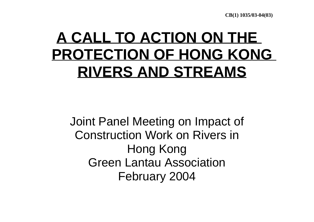**CB(1) 1035/03-04(03)**

#### **A CALL TO ACTION ON THE PROTECTION OF HONG KONGRIVERS AND STREAMS**

Joint Panel Meeting on Impact of Construction Work on Rivers in Hong Kong Green Lantau Association February 2004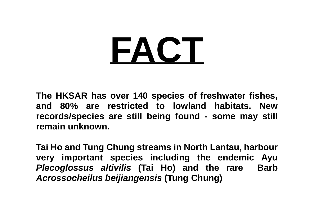# **FACT**

**The HKSAR has over 140 species of freshwater fishes, and 80% are restricted to lowland habitats. Newrecords/species are still being found - some may still remain unknown.**

**Tai Ho and Tung Chung streams in North Lantau, harbour very important species including the endemic Ayu** *Plecoglossus altivilis* **(Tai Ho) and the rare Barb** *Acrossocheilus beijiangensis* **(Tung Chung)**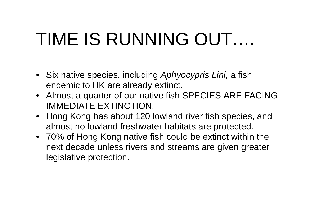# TIME IS RUNNING OUT….

- Six native species, including *Aphyocypris Lini,* a fish endemic to HK are already extinct.
- Almost a quarter of our native fish SPECIES ARE FACING IMMEDIATE EXTINCTION.
- Hong Kong has about 120 lowland river fish species, and almost no lowland freshwater habitats are protected.
- 70% of Hong Kong native fish could be extinct within the next decade unless rivers and streams are given greater legislative protection.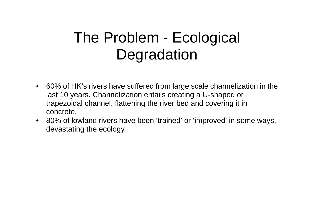#### The Problem - Ecological **Degradation**

- 60% of HK's rivers have suffered from large scale channelization in the last 10 years. Channelization entails creating a U-shaped or trapezoidal channel, flattening the river bed and covering it in concrete.
- 80% of lowland rivers have been 'trained' or 'improved' in some ways, devastating the ecology.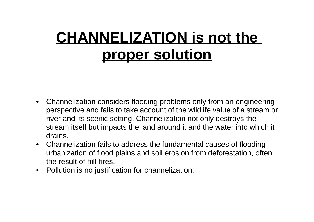#### **CHANNELIZATION is not the proper solution**

- Channelization considers flooding problems only from an engineering perspective and fails to take account of the wildlife value of a stream or river and its scenic setting. Channelization not only destroys the stream itself but impacts the land around it and the water into which it drains.
- Channelization fails to address the fundamental causes of flooding urbanization of flood plains and soil erosion from deforestation, often the result of hill-fires.
- Pollution is no justification for channelization.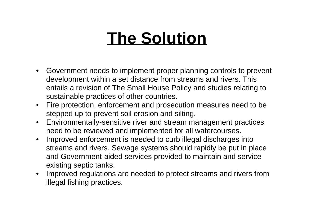## **The Solution**

- Government needs to implement proper planning controls to prevent development within a set distance from streams and rivers. This entails a revision of The Small House Policy and studies relating to sustainable practices of other countries.
- Fire protection, enforcement and prosecution measures need to be stepped up to prevent soil erosion and silting.
- Environmentally-sensitive river and stream management practices need to be reviewed and implemented for all watercourses.
- Improved enforcement is needed to curb illegal discharges into streams and rivers. Sewage systems should rapidly be put in place and Government-aided services provided to maintain and service existing septic tanks.
- Improved regulations are needed to protect streams and rivers from illegal fishing practices.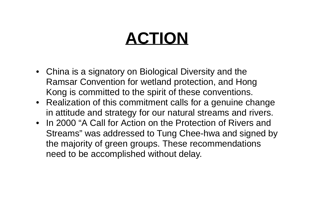## **ACTION**

- China is a signatory on Biological Diversity and the Ramsar Convention for wetland protection, and Hong Kong is committed to the spirit of these conventions.
- Realization of this commitment calls for a genuine change in attitude and strategy for our natural streams and rivers.
- In 2000 "A Call for Action on the Protection of Rivers and Streams" was addressed to Tung Chee-hwa and signed by the majority of green groups. These recommendations need to be accomplished without delay.